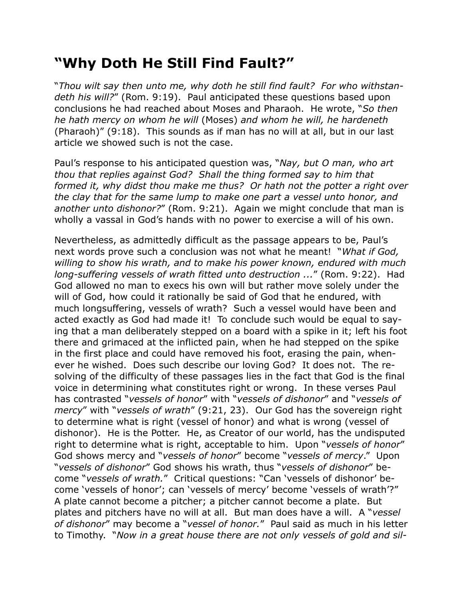## **"Why Doth He Still Find Fault?"**

"*Thou wilt say then unto me, why doth he still find fault? For who withstandeth his will?*" (Rom. 9:19). Paul anticipated these questions based upon conclusions he had reached about Moses and Pharaoh. He wrote, "*So then he hath mercy on whom he will* (Moses) *and whom he will, he hardeneth*  (Pharaoh)" (9:18). This sounds as if man has no will at all, but in our last article we showed such is not the case.

Paul's response to his anticipated question was, "*Nay, but O man, who art thou that replies against God? Shall the thing formed say to him that formed it, why didst thou make me thus? Or hath not the potter a right over the clay that for the same lump to make one part a vessel unto honor, and another unto dishonor?*" (Rom. 9:21). Again we might conclude that man is wholly a vassal in God's hands with no power to exercise a will of his own.

Nevertheless, as admittedly difficult as the passage appears to be, Paul's next words prove such a conclusion was not what he meant! "*What if God, willing to show his wrath, and to make his power known, endured with much long-suffering vessels of wrath fitted unto destruction ...*" (Rom. 9:22). Had God allowed no man to execs his own will but rather move solely under the will of God, how could it rationally be said of God that he endured, with much longsuffering, vessels of wrath? Such a vessel would have been and acted exactly as God had made it! To conclude such would be equal to saying that a man deliberately stepped on a board with a spike in it; left his foot there and grimaced at the inflicted pain, when he had stepped on the spike in the first place and could have removed his foot, erasing the pain, whenever he wished. Does such describe our loving God? It does not. The resolving of the difficulty of these passages lies in the fact that God is the final voice in determining what constitutes right or wrong. In these verses Paul has contrasted "*vessels of honor*" with "*vessels of dishonor*" and "*vessels of mercy*" with "*vessels of wrath*" (9:21, 23). Our God has the sovereign right to determine what is right (vessel of honor) and what is wrong (vessel of dishonor). He is the Potter. He, as Creator of our world, has the undisputed right to determine what is right, acceptable to him. Upon "*vessels of honor*" God shows mercy and "*vessels of honor*" become "*vessels of mercy*." Upon "*vessels of dishonor*" God shows his wrath, thus "*vessels of dishonor*" become "*vessels of wrath.*" Critical questions: "Can 'vessels of dishonor' become 'vessels of honor'; can 'vessels of mercy' become 'vessels of wrath'?" A plate cannot become a pitcher; a pitcher cannot become a plate. But plates and pitchers have no will at all. But man does have a will. A "*vessel of dishonor*" may become a "*vessel of honor.*" Paul said as much in his letter to Timothy. "*Now in a great house there are not only vessels of gold and sil-*